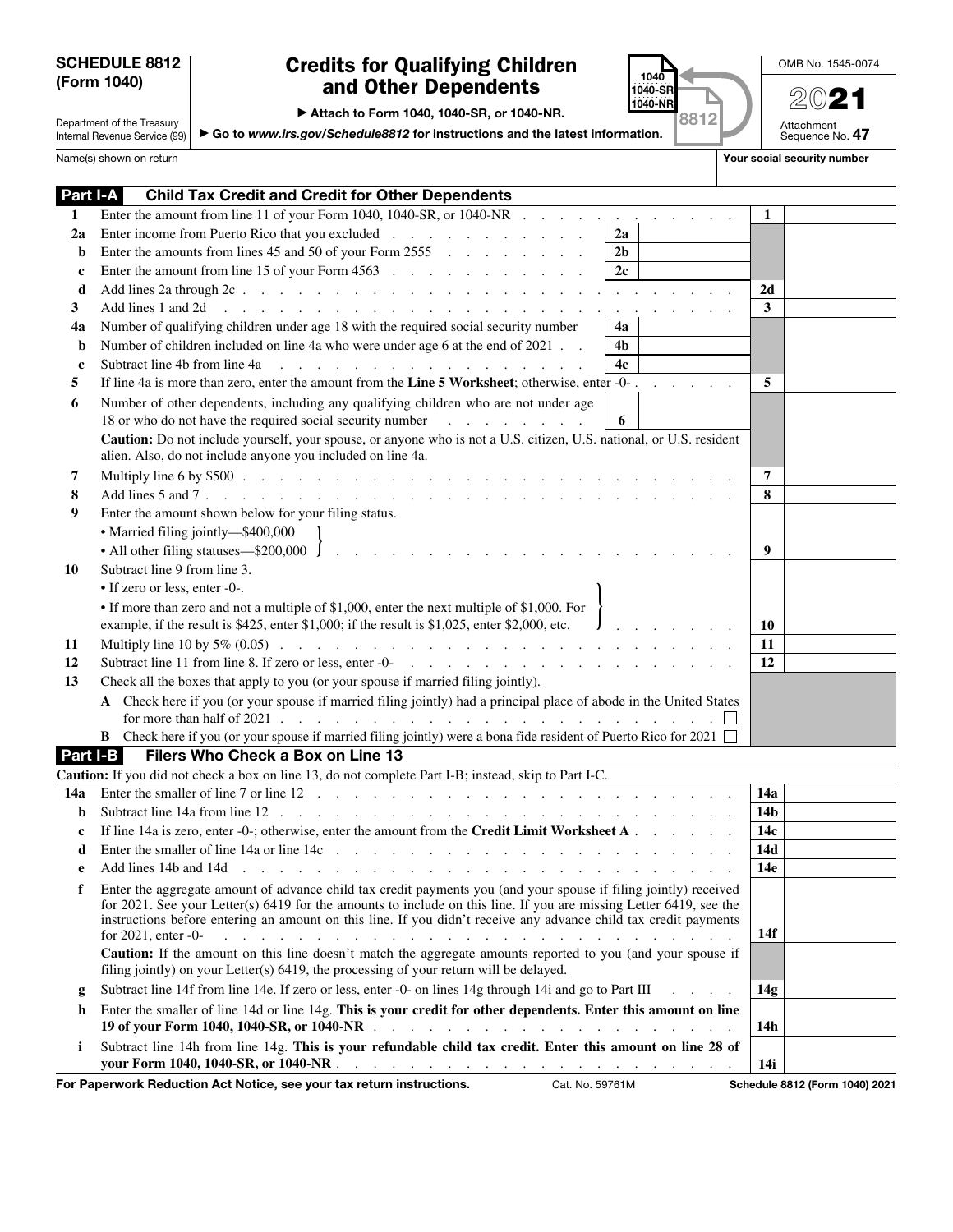## SCHEDULE 8812

## (Form 1040) and Other Dependents  $\frac{1040}{1040-58}$  2021 Credits for Qualifying Children



OMB No. 1545-0074

Attachment<br>Sequence No. **47** 

Department of the Treasury Internal Revenue Service (99)

## ▶ Attach to Form 1040, 1040-SR, or 1040-NR.

▶ Go to *www.irs.gov/Schedule8812* for instructions and the latest information.

Name(s) shown on return **Your social security number**  $\blacksquare$  Your social security number

I

| Part I-A    | <b>Child Tax Credit and Credit for Other Dependents</b>                                                                                                                                                                                                                                                                                                                                                                                                                                                                                                                                                                   |                 |
|-------------|---------------------------------------------------------------------------------------------------------------------------------------------------------------------------------------------------------------------------------------------------------------------------------------------------------------------------------------------------------------------------------------------------------------------------------------------------------------------------------------------------------------------------------------------------------------------------------------------------------------------------|-----------------|
| 1           | Enter the amount from line 11 of your Form 1040, 1040-SR, or 1040-NR $\ldots$ ,                                                                                                                                                                                                                                                                                                                                                                                                                                                                                                                                           | 1               |
| 2a          | Enter income from Puerto Rico that you excluded<br>2a                                                                                                                                                                                                                                                                                                                                                                                                                                                                                                                                                                     |                 |
| b           | Enter the amounts from lines 45 and 50 of your Form 2555<br>2 <sub>b</sub>                                                                                                                                                                                                                                                                                                                                                                                                                                                                                                                                                |                 |
| $\mathbf c$ | Enter the amount from line 15 of your Form 4563<br>2c                                                                                                                                                                                                                                                                                                                                                                                                                                                                                                                                                                     |                 |
| d           |                                                                                                                                                                                                                                                                                                                                                                                                                                                                                                                                                                                                                           | 2d              |
| 3           | Add lines 1 and 2d<br>and the contract of the contract of the contract of the contract of the contract of the contract of the contract of the contract of the contract of the contract of the contract of the contract of the contract of the contra                                                                                                                                                                                                                                                                                                                                                                      | 3               |
| 4a          | Number of qualifying children under age 18 with the required social security number<br>4a                                                                                                                                                                                                                                                                                                                                                                                                                                                                                                                                 |                 |
| b           | Number of children included on line 4a who were under age 6 at the end of 2021<br>4 <sub>b</sub>                                                                                                                                                                                                                                                                                                                                                                                                                                                                                                                          |                 |
| $\mathbf c$ | Subtract line 4b from line 4a<br>and the contract of the contract of the contract of<br>4c                                                                                                                                                                                                                                                                                                                                                                                                                                                                                                                                |                 |
| 5           | If line 4a is more than zero, enter the amount from the Line 5 Worksheet; otherwise, enter -0-.<br>and the control                                                                                                                                                                                                                                                                                                                                                                                                                                                                                                        | 5               |
| 6           | Number of other dependents, including any qualifying children who are not under age<br>18 or who do not have the required social security number<br>6<br><u>in the second contract of the second</u>                                                                                                                                                                                                                                                                                                                                                                                                                      |                 |
|             | Caution: Do not include yourself, your spouse, or anyone who is not a U.S. citizen, U.S. national, or U.S. resident<br>alien. Also, do not include anyone you included on line 4a.                                                                                                                                                                                                                                                                                                                                                                                                                                        |                 |
| 7           |                                                                                                                                                                                                                                                                                                                                                                                                                                                                                                                                                                                                                           | 7               |
| 8           |                                                                                                                                                                                                                                                                                                                                                                                                                                                                                                                                                                                                                           | 8               |
| 9           | Enter the amount shown below for your filing status.                                                                                                                                                                                                                                                                                                                                                                                                                                                                                                                                                                      |                 |
|             | • Married filing jointly-\$400,000                                                                                                                                                                                                                                                                                                                                                                                                                                                                                                                                                                                        |                 |
|             | • All other filing statuses—\$200,000 $\int$<br><u>and a straightful and a straightful and a straightful and</u>                                                                                                                                                                                                                                                                                                                                                                                                                                                                                                          | 9               |
| 10          | Subtract line 9 from line 3.                                                                                                                                                                                                                                                                                                                                                                                                                                                                                                                                                                                              |                 |
|             | • If zero or less, enter -0-.                                                                                                                                                                                                                                                                                                                                                                                                                                                                                                                                                                                             |                 |
|             | • If more than zero and not a multiple of \$1,000, enter the next multiple of \$1,000. For<br>example, if the result is \$425, enter \$1,000; if the result is \$1,025, enter \$2,000, etc.<br>$J_{1}$ , $J_{2}$ , $J_{3}$ , $J_{4}$                                                                                                                                                                                                                                                                                                                                                                                      | 10              |
| 11          | Multiply line 10 by 5% (0.05) $\ldots$ $\ldots$ $\ldots$ $\ldots$ $\ldots$ $\ldots$ $\ldots$ $\ldots$ $\ldots$ $\ldots$                                                                                                                                                                                                                                                                                                                                                                                                                                                                                                   | 11              |
| 12          | Subtract line 11 from line 8. If zero or less, enter $-0$ and the state is a state of the state in the state in the state in the state in the state in the state in the state in the state in the state in the state in the s                                                                                                                                                                                                                                                                                                                                                                                             | 12              |
| 13          | Check all the boxes that apply to you (or your spouse if married filing jointly).                                                                                                                                                                                                                                                                                                                                                                                                                                                                                                                                         |                 |
|             | A Check here if you (or your spouse if married filing jointly) had a principal place of abode in the United States<br>for more than half of 2021 $\ldots$ $\ldots$ $\ldots$ $\ldots$ $\ldots$ $\ldots$ $\ldots$ $\ldots$ $\ldots$                                                                                                                                                                                                                                                                                                                                                                                         |                 |
|             | <b>B</b> Check here if you (or your spouse if married filing jointly) were a bona fide resident of Puerto Rico for 2021                                                                                                                                                                                                                                                                                                                                                                                                                                                                                                   |                 |
| Part I-B    | Filers Who Check a Box on Line 13                                                                                                                                                                                                                                                                                                                                                                                                                                                                                                                                                                                         |                 |
|             | Caution: If you did not check a box on line 13, do not complete Part I-B; instead, skip to Part I-C.                                                                                                                                                                                                                                                                                                                                                                                                                                                                                                                      |                 |
| 14a         |                                                                                                                                                                                                                                                                                                                                                                                                                                                                                                                                                                                                                           | 14a             |
| b           |                                                                                                                                                                                                                                                                                                                                                                                                                                                                                                                                                                                                                           | 14 <sub>b</sub> |
| c           | If line 14a is zero, enter -0-; otherwise, enter the amount from the Credit Limit Worksheet $A \cdot \cdot \cdot \cdot$                                                                                                                                                                                                                                                                                                                                                                                                                                                                                                   | 14c             |
| d           | Enter the smaller of line 14a or line 14c $\ldots$ $\ldots$ $\ldots$ $\ldots$ $\ldots$ $\ldots$ $\ldots$ $\ldots$                                                                                                                                                                                                                                                                                                                                                                                                                                                                                                         | 14d             |
| e           | Add lines 14b and 14d<br>and the contract of the contract of                                                                                                                                                                                                                                                                                                                                                                                                                                                                                                                                                              | 14e             |
| f           | Enter the aggregate amount of advance child tax credit payments you (and your spouse if filing jointly) received<br>for 2021. See your Letter(s) 6419 for the amounts to include on this line. If you are missing Letter 6419, see the<br>instructions before entering an amount on this line. If you didn't receive any advance child tax credit payments<br>for $2021$ , enter $-0$ -<br>and the company of the company of the company of the company of the company of the company of the company of the company of the company of the company of the company of the company of the company of the company of the comp | 14f             |
|             | Caution: If the amount on this line doesn't match the aggregate amounts reported to you (and your spouse if<br>filing jointly) on your Letter(s) 6419, the processing of your return will be delayed.                                                                                                                                                                                                                                                                                                                                                                                                                     |                 |
| g           | Subtract line 14f from line 14e. If zero or less, enter -0- on lines 14g through 14i and go to Part III<br>and the state of the state                                                                                                                                                                                                                                                                                                                                                                                                                                                                                     | 14g             |
| h           | Enter the smaller of line 14d or line 14g. This is your credit for other dependents. Enter this amount on line                                                                                                                                                                                                                                                                                                                                                                                                                                                                                                            | 14 <sub>h</sub> |
| i           | Subtract line 14h from line 14g. This is your refundable child tax credit. Enter this amount on line 28 of                                                                                                                                                                                                                                                                                                                                                                                                                                                                                                                | 14i             |

For Paperwork Reduction Act Notice, see your tax return instructions. Cat. No. 59761M Schedule 8812 (Form 1040) 2021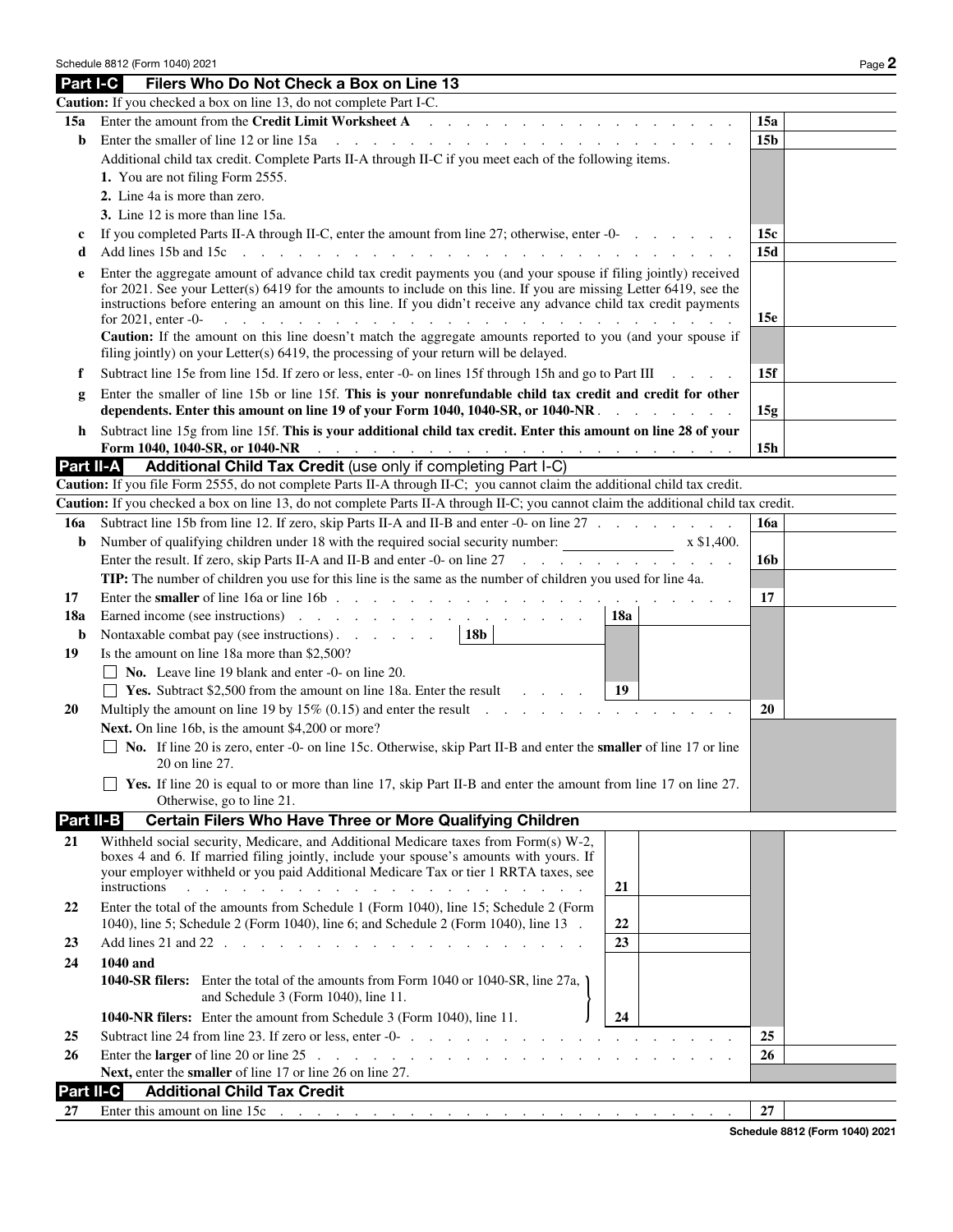|           | Schedule 8812 (Form 1040) 2021                                                                                                                                                                                                                                                                                                                                                                                                                                                                                                                                                                                         | Page 2          |
|-----------|------------------------------------------------------------------------------------------------------------------------------------------------------------------------------------------------------------------------------------------------------------------------------------------------------------------------------------------------------------------------------------------------------------------------------------------------------------------------------------------------------------------------------------------------------------------------------------------------------------------------|-----------------|
|           | Part I-C<br>Filers Who Do Not Check a Box on Line 13                                                                                                                                                                                                                                                                                                                                                                                                                                                                                                                                                                   |                 |
|           | Caution: If you checked a box on line 13, do not complete Part I-C.                                                                                                                                                                                                                                                                                                                                                                                                                                                                                                                                                    |                 |
| 15a       | Enter the amount from the Credit Limit Worksheet A<br>$\mathcal{L}$ . The state of the state of the state of the state of the state of the state of the state of the state of the state of the state of the state of the state of the state of the state of the state of the state of th                                                                                                                                                                                                                                                                                                                               | 15a             |
| b         | Enter the smaller of line 12 or line 15a<br>the contract of the contract of the contract of the contract of the contract of the contract of the contract of                                                                                                                                                                                                                                                                                                                                                                                                                                                            | 15 <sub>b</sub> |
|           | Additional child tax credit. Complete Parts II-A through II-C if you meet each of the following items.                                                                                                                                                                                                                                                                                                                                                                                                                                                                                                                 |                 |
|           | 1. You are not filing Form 2555.                                                                                                                                                                                                                                                                                                                                                                                                                                                                                                                                                                                       |                 |
|           | 2. Line 4a is more than zero.                                                                                                                                                                                                                                                                                                                                                                                                                                                                                                                                                                                          |                 |
|           | 3. Line 12 is more than line 15a.                                                                                                                                                                                                                                                                                                                                                                                                                                                                                                                                                                                      |                 |
| c         | If you completed Parts II-A through II-C, enter the amount from line 27; otherwise, enter -0-                                                                                                                                                                                                                                                                                                                                                                                                                                                                                                                          | 15c             |
| d         | $\mathbf{r}$ , and $\mathbf{r}$ , and $\mathbf{r}$ , and $\mathbf{r}$ , and $\mathbf{r}$ , and $\mathbf{r}$<br>Add lines 15b and 15c<br>$\sim$<br>and the contract of the contract of the contract of the contract of the contract of the contract of the contract of the contract of the contract of the contract of the contract of the contract of the contract of the contra                                                                                                                                                                                                                                       | 15d             |
| e         | Enter the aggregate amount of advance child tax credit payments you (and your spouse if filing jointly) received<br>for 2021. See your Letter(s) 6419 for the amounts to include on this line. If you are missing Letter 6419, see the<br>instructions before entering an amount on this line. If you didn't receive any advance child tax credit payments<br>and a complete that the complete that the complete theory of the complete the complete that the complete the complete the complete the complete the complete the complete the complete the complete the complete the complete<br>for $2021$ , enter $-0$ | 15e             |
|           | Caution: If the amount on this line doesn't match the aggregate amounts reported to you (and your spouse if                                                                                                                                                                                                                                                                                                                                                                                                                                                                                                            |                 |
|           | filing jointly) on your Letter(s) 6419, the processing of your return will be delayed.                                                                                                                                                                                                                                                                                                                                                                                                                                                                                                                                 |                 |
| f         | Subtract line 15e from line 15d. If zero or less, enter -0- on lines 15f through 15h and go to Part III                                                                                                                                                                                                                                                                                                                                                                                                                                                                                                                | 15f             |
| g         | Enter the smaller of line 15b or line 15f. This is your nonrefundable child tax credit and credit for other                                                                                                                                                                                                                                                                                                                                                                                                                                                                                                            |                 |
|           | dependents. Enter this amount on line 19 of your Form 1040, 1040-SR, or 1040-NR.                                                                                                                                                                                                                                                                                                                                                                                                                                                                                                                                       | 15g             |
| h         | Subtract line 15g from line 15f. This is your additional child tax credit. Enter this amount on line 28 of your                                                                                                                                                                                                                                                                                                                                                                                                                                                                                                        |                 |
|           | Form 1040, 1040-SR, or 1040-NR<br>$\mathcal{L}_{\mathcal{A}}$ . The contribution of the contribution of the contribution of the contribution of                                                                                                                                                                                                                                                                                                                                                                                                                                                                        | 15h             |
| Part II-A | Additional Child Tax Credit (use only if completing Part I-C)                                                                                                                                                                                                                                                                                                                                                                                                                                                                                                                                                          |                 |
|           | Caution: If you file Form 2555, do not complete Parts II-A through II-C; you cannot claim the additional child tax credit.                                                                                                                                                                                                                                                                                                                                                                                                                                                                                             |                 |
|           | Caution: If you checked a box on line 13, do not complete Parts II-A through II-C; you cannot claim the additional child tax credit.                                                                                                                                                                                                                                                                                                                                                                                                                                                                                   |                 |
| 16a       | Subtract line 15b from line 12. If zero, skip Parts II-A and II-B and enter -0- on line 27                                                                                                                                                                                                                                                                                                                                                                                                                                                                                                                             | <b>16a</b>      |
| b         | Number of qualifying children under 18 with the required social security number: x \$1,400.                                                                                                                                                                                                                                                                                                                                                                                                                                                                                                                            |                 |
|           | Enter the result. If zero, skip Parts II-A and II-B and enter -0- on line 27                                                                                                                                                                                                                                                                                                                                                                                                                                                                                                                                           | 16b             |
|           | <b>TIP:</b> The number of children you use for this line is the same as the number of children you used for line 4a.                                                                                                                                                                                                                                                                                                                                                                                                                                                                                                   |                 |
| 17        |                                                                                                                                                                                                                                                                                                                                                                                                                                                                                                                                                                                                                        | 17              |
| 18a       | 18a<br>Nontaxable combat pay (see instructions).<br>18b                                                                                                                                                                                                                                                                                                                                                                                                                                                                                                                                                                |                 |
| b<br>19   | Is the amount on line 18a more than \$2,500?                                                                                                                                                                                                                                                                                                                                                                                                                                                                                                                                                                           |                 |
|           | $\Box$ No. Leave line 19 blank and enter -0- on line 20.                                                                                                                                                                                                                                                                                                                                                                                                                                                                                                                                                               |                 |
|           | <b>Example 18.</b> Yes. Subtract \$2,500 from the amount on line 18a. Enter the result $\qquad \qquad$<br>-19                                                                                                                                                                                                                                                                                                                                                                                                                                                                                                          |                 |
| 20        | Multiply the amount on line 19 by $15\%$ (0.15) and enter the result $\ldots$                                                                                                                                                                                                                                                                                                                                                                                                                                                                                                                                          | 20              |
|           | Next. On line 16b, is the amount \$4,200 or more?                                                                                                                                                                                                                                                                                                                                                                                                                                                                                                                                                                      |                 |
|           | $\Box$ No. If line 20 is zero, enter -0- on line 15c. Otherwise, skip Part II-B and enter the <b>smaller</b> of line 17 or line                                                                                                                                                                                                                                                                                                                                                                                                                                                                                        |                 |
|           | 20 on line 27.                                                                                                                                                                                                                                                                                                                                                                                                                                                                                                                                                                                                         |                 |
|           | <b>EXECUTE:</b> Yes. If line 20 is equal to or more than line 17, skip Part II-B and enter the amount from line 17 on line 27.<br>Otherwise, go to line 21.                                                                                                                                                                                                                                                                                                                                                                                                                                                            |                 |
| Part II-B | Certain Filers Who Have Three or More Qualifying Children                                                                                                                                                                                                                                                                                                                                                                                                                                                                                                                                                              |                 |
| 21        | Withheld social security, Medicare, and Additional Medicare taxes from Form(s) W-2,                                                                                                                                                                                                                                                                                                                                                                                                                                                                                                                                    |                 |
|           | boxes 4 and 6. If married filing jointly, include your spouse's amounts with yours. If                                                                                                                                                                                                                                                                                                                                                                                                                                                                                                                                 |                 |
|           | your employer withheld or you paid Additional Medicare Tax or tier 1 RRTA taxes, see<br>instructions<br>and the companion of the companion of the companion of the companion<br>21                                                                                                                                                                                                                                                                                                                                                                                                                                     |                 |
|           |                                                                                                                                                                                                                                                                                                                                                                                                                                                                                                                                                                                                                        |                 |
| 22        | Enter the total of the amounts from Schedule 1 (Form 1040), line 15; Schedule 2 (Form<br>1040), line 5; Schedule 2 (Form 1040), line 6; and Schedule 2 (Form 1040), line 13.<br>22                                                                                                                                                                                                                                                                                                                                                                                                                                     |                 |
| 23        | Add lines 21 and 22 $\ldots$ $\ldots$ $\ldots$ $\ldots$ $\ldots$ $\ldots$ $\ldots$ $\ldots$ $\ldots$<br>23                                                                                                                                                                                                                                                                                                                                                                                                                                                                                                             |                 |
| 24        | 1040 and                                                                                                                                                                                                                                                                                                                                                                                                                                                                                                                                                                                                               |                 |
|           | 1040-SR filers: Enter the total of the amounts from Form 1040 or 1040-SR, line 27a,                                                                                                                                                                                                                                                                                                                                                                                                                                                                                                                                    |                 |
|           | and Schedule 3 (Form 1040), line 11.                                                                                                                                                                                                                                                                                                                                                                                                                                                                                                                                                                                   |                 |
|           | <b>1040-NR filers:</b> Enter the amount from Schedule 3 (Form 1040), line 11.<br>24                                                                                                                                                                                                                                                                                                                                                                                                                                                                                                                                    |                 |
| 25        | Subtract line 24 from line 23. If zero or less, enter -0-                                                                                                                                                                                                                                                                                                                                                                                                                                                                                                                                                              | 25              |
| 26        |                                                                                                                                                                                                                                                                                                                                                                                                                                                                                                                                                                                                                        | 26              |
|           | Next, enter the smaller of line 17 or line 26 on line 27.                                                                                                                                                                                                                                                                                                                                                                                                                                                                                                                                                              |                 |
| Part II-C | <b>Additional Child Tax Credit</b>                                                                                                                                                                                                                                                                                                                                                                                                                                                                                                                                                                                     |                 |
| 27        | Enter this amount on line 15c                                                                                                                                                                                                                                                                                                                                                                                                                                                                                                                                                                                          | 27              |

Schedule 8812 (Form 1040) 2021